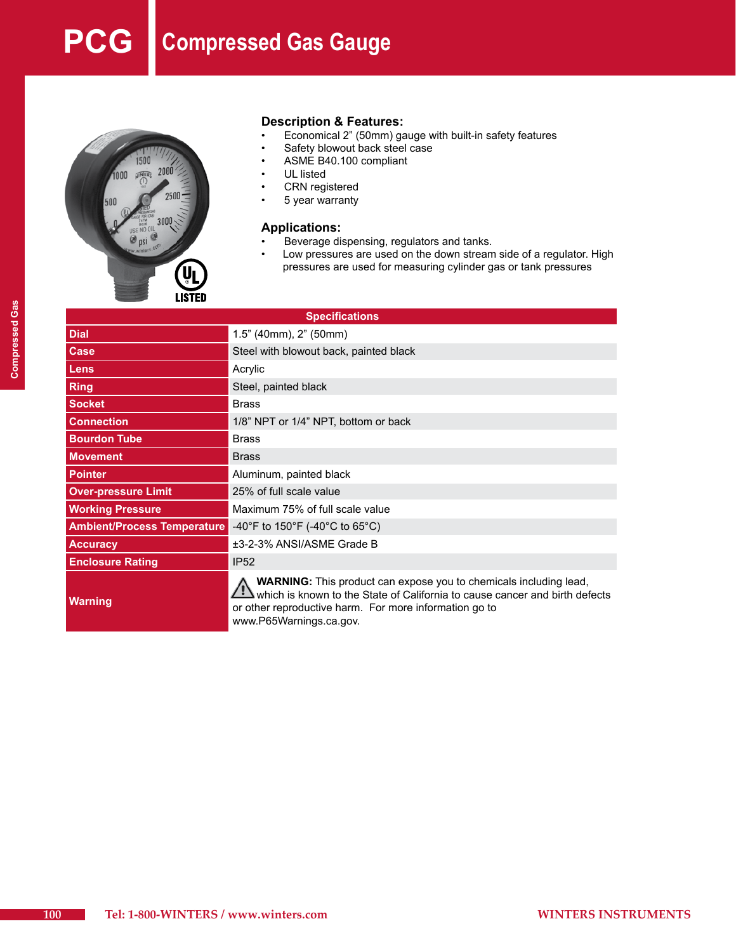# **PCG Compressed Gas Gauge**



# **Description & Features:**<br>• Economical 2" (50mm) da

- Economical 2" (50mm) gauge with built-in safety features
- Safety blowout back steel case
- ASME B40.100 compliant
- UL listed
- **CRN** registered
- 5 year warranty

#### **Applications:**

- Beverage dispensing, regulators and tanks.
- • Low pressures are used on the down stream side of a regulator. High pressures are used for measuring cylinder gas or tank pressures

| <b>Specifications</b>              |                                                                                                                                                                                                                                              |  |  |  |
|------------------------------------|----------------------------------------------------------------------------------------------------------------------------------------------------------------------------------------------------------------------------------------------|--|--|--|
| <b>Dial</b>                        | 1.5" (40mm), 2" (50mm)                                                                                                                                                                                                                       |  |  |  |
| Case                               | Steel with blowout back, painted black                                                                                                                                                                                                       |  |  |  |
| <b>Lens</b>                        | Acrylic                                                                                                                                                                                                                                      |  |  |  |
| <b>Ring</b>                        | Steel, painted black                                                                                                                                                                                                                         |  |  |  |
| <b>Socket</b>                      | <b>Brass</b>                                                                                                                                                                                                                                 |  |  |  |
| <b>Connection</b>                  | 1/8" NPT or 1/4" NPT, bottom or back                                                                                                                                                                                                         |  |  |  |
| <b>Bourdon Tube</b>                | <b>Brass</b>                                                                                                                                                                                                                                 |  |  |  |
| <b>Movement</b>                    | <b>Brass</b>                                                                                                                                                                                                                                 |  |  |  |
| <b>Pointer</b>                     | Aluminum, painted black                                                                                                                                                                                                                      |  |  |  |
| <b>Over-pressure Limit</b>         | 25% of full scale value                                                                                                                                                                                                                      |  |  |  |
| <b>Working Pressure</b>            | Maximum 75% of full scale value                                                                                                                                                                                                              |  |  |  |
| <b>Ambient/Process Temperature</b> | -40°F to 150°F (-40°C to 65°C)                                                                                                                                                                                                               |  |  |  |
| <b>Accuracy</b>                    | ±3-2-3% ANSI/ASME Grade B                                                                                                                                                                                                                    |  |  |  |
| <b>Enclosure Rating</b>            | <b>IP52</b>                                                                                                                                                                                                                                  |  |  |  |
| <b>Warning</b>                     | <b>WARNING:</b> This product can expose you to chemicals including lead,<br>which is known to the State of California to cause cancer and birth defects<br>or other reproductive harm. For more information go to<br>www.P65Warnings.ca.gov. |  |  |  |